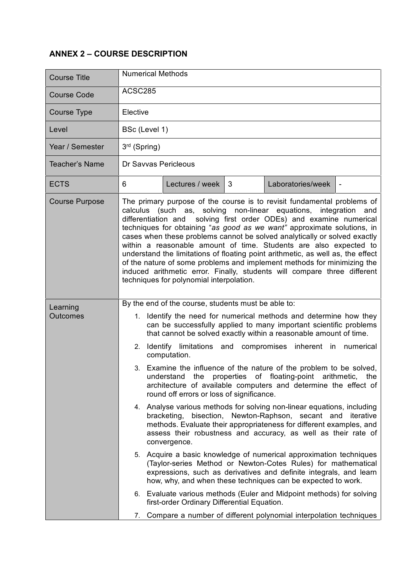## **ANNEX 2 – COURSE DESCRIPTION**

| <b>Course Title</b>         | <b>Numerical Methods</b>                                                                                                                                                                                                                                                                                                                                                                                                                                                                                                                                                                                                                                                                                                                                                                                                                                                                                                                                                                                                                                                                                                                                                                                                                                                           |  |  |
|-----------------------------|------------------------------------------------------------------------------------------------------------------------------------------------------------------------------------------------------------------------------------------------------------------------------------------------------------------------------------------------------------------------------------------------------------------------------------------------------------------------------------------------------------------------------------------------------------------------------------------------------------------------------------------------------------------------------------------------------------------------------------------------------------------------------------------------------------------------------------------------------------------------------------------------------------------------------------------------------------------------------------------------------------------------------------------------------------------------------------------------------------------------------------------------------------------------------------------------------------------------------------------------------------------------------------|--|--|
| <b>Course Code</b>          | ACSC285                                                                                                                                                                                                                                                                                                                                                                                                                                                                                                                                                                                                                                                                                                                                                                                                                                                                                                                                                                                                                                                                                                                                                                                                                                                                            |  |  |
| Course Type                 | Elective                                                                                                                                                                                                                                                                                                                                                                                                                                                                                                                                                                                                                                                                                                                                                                                                                                                                                                                                                                                                                                                                                                                                                                                                                                                                           |  |  |
| Level                       | BSc (Level 1)                                                                                                                                                                                                                                                                                                                                                                                                                                                                                                                                                                                                                                                                                                                                                                                                                                                                                                                                                                                                                                                                                                                                                                                                                                                                      |  |  |
| Year / Semester             | $3rd$ (Spring)                                                                                                                                                                                                                                                                                                                                                                                                                                                                                                                                                                                                                                                                                                                                                                                                                                                                                                                                                                                                                                                                                                                                                                                                                                                                     |  |  |
| Teacher's Name              | Dr Savvas Pericleous                                                                                                                                                                                                                                                                                                                                                                                                                                                                                                                                                                                                                                                                                                                                                                                                                                                                                                                                                                                                                                                                                                                                                                                                                                                               |  |  |
| <b>ECTS</b>                 | Lectures / week<br>3<br>Laboratories/week<br>6                                                                                                                                                                                                                                                                                                                                                                                                                                                                                                                                                                                                                                                                                                                                                                                                                                                                                                                                                                                                                                                                                                                                                                                                                                     |  |  |
| <b>Course Purpose</b>       | The primary purpose of the course is to revisit fundamental problems of<br>calculus (such as, solving non-linear equations, integration and<br>differentiation and solving first order ODEs) and examine numerical<br>techniques for obtaining "as good as we want" approximate solutions, in<br>cases when these problems cannot be solved analytically or solved exactly<br>within a reasonable amount of time. Students are also expected to<br>understand the limitations of floating point arithmetic, as well as, the effect<br>of the nature of some problems and implement methods for minimizing the<br>induced arithmetic error. Finally, students will compare three different<br>techniques for polynomial interpolation.                                                                                                                                                                                                                                                                                                                                                                                                                                                                                                                                              |  |  |
| Learning<br><b>Outcomes</b> | By the end of the course, students must be able to:<br>Identify the need for numerical methods and determine how they<br>1.<br>can be successfully applied to many important scientific problems<br>that cannot be solved exactly within a reasonable amount of time.<br>2. Identify limitations and compromises inherent in<br>numerical<br>computation.<br>3. Examine the influence of the nature of the problem to be solved,<br>understand<br>the properties of floating-point arithmetic,<br>the<br>architecture of available computers and determine the effect of<br>round off errors or loss of significance.<br>4. Analyse various methods for solving non-linear equations, including<br>bracketing, bisection, Newton-Raphson, secant and<br>iterative<br>methods. Evaluate their appropriateness for different examples, and<br>assess their robustness and accuracy, as well as their rate of<br>convergence.<br>5. Acquire a basic knowledge of numerical approximation techniques<br>(Taylor-series Method or Newton-Cotes Rules) for mathematical<br>expressions, such as derivatives and definite integrals, and learn<br>how, why, and when these techniques can be expected to work.<br>Evaluate various methods (Euler and Midpoint methods) for solving<br>6. |  |  |
|                             | first-order Ordinary Differential Equation.<br>Compare a number of different polynomial interpolation techniques<br>7.                                                                                                                                                                                                                                                                                                                                                                                                                                                                                                                                                                                                                                                                                                                                                                                                                                                                                                                                                                                                                                                                                                                                                             |  |  |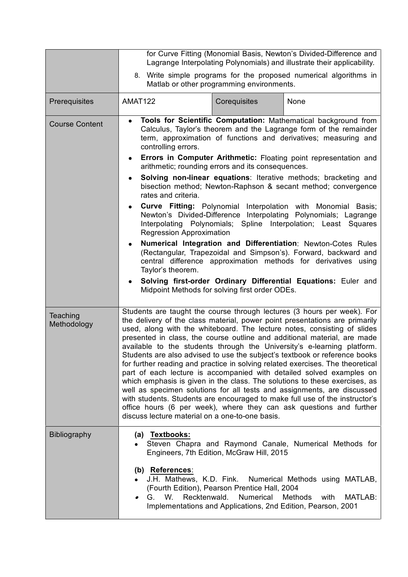|                         | for Curve Fitting (Monomial Basis, Newton's Divided-Difference and<br>Lagrange Interpolating Polynomials) and illustrate their applicability.                                                                                                                                                                                                                                                                                                                                                                                                                                                                                                                                                                                                                                                                                                                                                                                                                                                                                                                                                                                            |                                                                                                                |                                                                                                                                                                                                 |
|-------------------------|------------------------------------------------------------------------------------------------------------------------------------------------------------------------------------------------------------------------------------------------------------------------------------------------------------------------------------------------------------------------------------------------------------------------------------------------------------------------------------------------------------------------------------------------------------------------------------------------------------------------------------------------------------------------------------------------------------------------------------------------------------------------------------------------------------------------------------------------------------------------------------------------------------------------------------------------------------------------------------------------------------------------------------------------------------------------------------------------------------------------------------------|----------------------------------------------------------------------------------------------------------------|-------------------------------------------------------------------------------------------------------------------------------------------------------------------------------------------------|
|                         |                                                                                                                                                                                                                                                                                                                                                                                                                                                                                                                                                                                                                                                                                                                                                                                                                                                                                                                                                                                                                                                                                                                                          | Matlab or other programming environments.                                                                      | 8. Write simple programs for the proposed numerical algorithms in                                                                                                                               |
| Prerequisites           | AMAT122                                                                                                                                                                                                                                                                                                                                                                                                                                                                                                                                                                                                                                                                                                                                                                                                                                                                                                                                                                                                                                                                                                                                  | Corequisites                                                                                                   | None                                                                                                                                                                                            |
| <b>Course Content</b>   | Tools for Scientific Computation: Mathematical background from<br>$\bullet$<br>Calculus, Taylor's theorem and the Lagrange form of the remainder<br>term, approximation of functions and derivatives; measuring and<br>controlling errors.<br>Errors in Computer Arithmetic: Floating point representation and<br>$\bullet$<br>arithmetic; rounding errors and its consequences.<br><b>Solving non-linear equations:</b> Iterative methods; bracketing and<br>$\bullet$<br>bisection method; Newton-Raphson & secant method; convergence<br>rates and criteria.<br><b>Curve Fitting:</b> Polynomial Interpolation with Monomial Basis;<br>$\bullet$<br>Newton's Divided-Difference Interpolating Polynomials; Lagrange<br>Spline Interpolation; Least Squares<br>Interpolating Polynomials;<br><b>Regression Approximation</b><br>Numerical Integration and Differentiation: Newton-Cotes Rules<br>$\bullet$<br>(Rectangular, Trapezoidal and Simpson's). Forward, backward and<br>central difference approximation methods for derivatives using<br>Taylor's theorem.<br>Solving first-order Ordinary Differential Equations: Euler and |                                                                                                                |                                                                                                                                                                                                 |
|                         | ٠<br>Midpoint Methods for solving first order ODEs.                                                                                                                                                                                                                                                                                                                                                                                                                                                                                                                                                                                                                                                                                                                                                                                                                                                                                                                                                                                                                                                                                      |                                                                                                                |                                                                                                                                                                                                 |
| Teaching<br>Methodology | Students are taught the course through lectures (3 hours per week). For<br>the delivery of the class material, power point presentations are primarily<br>used, along with the whiteboard. The lecture notes, consisting of slides<br>presented in class, the course outline and additional material, are made<br>available to the students through the University's e-learning platform.<br>Students are also advised to use the subject's textbook or reference books<br>for further reading and practice in solving related exercises. The theoretical<br>part of each lecture is accompanied with detailed solved examples on<br>which emphasis is given in the class. The solutions to these exercises, as<br>well as specimen solutions for all tests and assignments, are discussed<br>with students. Students are encouraged to make full use of the instructor's<br>office hours (6 per week), where they can ask questions and further<br>discuss lecture material on a one-to-one basis.                                                                                                                                      |                                                                                                                |                                                                                                                                                                                                 |
| <b>Bibliography</b>     | (a) Textbooks:<br>(b) References:<br>J.H. Mathews, K.D. Fink.<br>Recktenwald.<br>W.<br>G.                                                                                                                                                                                                                                                                                                                                                                                                                                                                                                                                                                                                                                                                                                                                                                                                                                                                                                                                                                                                                                                | Engineers, 7th Edition, McGraw Hill, 2015<br>(Fourth Edition), Pearson Prentice Hall, 2004<br><b>Numerical</b> | Steven Chapra and Raymond Canale, Numerical Methods for<br>Numerical Methods using MATLAB,<br><b>Methods</b><br>with<br>MATLAB:<br>Implementations and Applications, 2nd Edition, Pearson, 2001 |